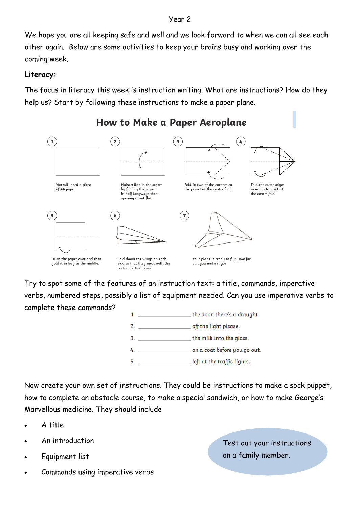#### Year 2

We hope you are all keeping safe and well and we look forward to when we can all see each other again. Below are some activities to keep your brains busy and working over the coming week.

## **Literacy:**

The focus in literacy this week is instruction writing. What are instructions? How do they help us? Start by following these instructions to make a paper plane.



How to Make a Paper Aeroplane

Try to spot some of the features of an instruction text: a title, commands, imperative verbs, numbered steps, possibly a list of equipment needed. Can you use imperative verbs to complete these commands?

 $1<sub>1</sub>$ 

the door, there's a draught.

- $2.$ off the light please.
- the milk into the glass.  $3.$
- on a coat before you go out. 4.
- left at the traffic lights.  $5<sub>1</sub>$

Now create your own set of instructions. They could be instructions to make a sock puppet, how to complete an obstacle course, to make a special sandwich, or how to make George's Marvellous medicine. They should include

- A title
- An introduction
- Equipment list
- Commands using imperative verbs

Test out your instructions on a family member.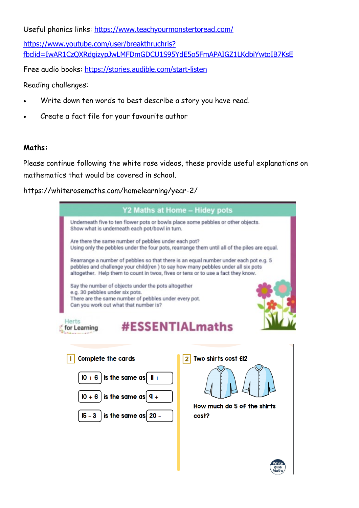Useful phonics links: <https://www.teachyourmonstertoread.com/>

[https://www.youtube.com/user/breakthruchris?](https://www.youtube.com/user/breakthruchris?fbclid=IwAR1CzQXRdgizypJwLMFDmGDCU1S95YdE5o5FmAPAIGZ1LKdbiYwtoIB7KsE) [fbclid=IwAR1CzQXRdgizypJwLMFDmGDCU1S95YdE5o5FmAPAIGZ1LKdbiYwtoIB7KsE](https://www.youtube.com/user/breakthruchris?fbclid=IwAR1CzQXRdgizypJwLMFDmGDCU1S95YdE5o5FmAPAIGZ1LKdbiYwtoIB7KsE)

Free audio books: <https://stories.audible.com/start-listen>

Reading challenges:

- Write down ten words to best describe a story you have read.
- Create a fact file for your favourite author

### **Maths:**

Please continue following the white rose videos, these provide useful explanations on mathematics that would be covered in school.

https://whiterosemaths.com/homelearning/year-2/

| Y2 Maths at Home - Hidey pots                                                                                                                                                                                                                                 |                                      |
|---------------------------------------------------------------------------------------------------------------------------------------------------------------------------------------------------------------------------------------------------------------|--------------------------------------|
| Underneath five to ten flower pots or bowls place some pebbles or other objects.<br>Show what is underneath each pot/bowl in turn.                                                                                                                            |                                      |
| Are there the same number of pebbles under each pot?<br>Using only the pebbles under the four pots, rearrange them until all of the piles are equal.                                                                                                          |                                      |
| Rearrange a number of pebbles so that there is an equal number under each pot e.g. 5<br>pebbles and challenge your child(ren) to say how many pebbles under all six pots<br>altogether. Help them to count in twos, fives or tens or to use a fact they know. |                                      |
| Say the number of objects under the pots altogether<br>e.g. 30 pebbles under six pots.<br>There are the same number of pebbles under every pot.<br>Can you work out what that number is?<br>Herts<br><b>#ESSENTIALmaths</b><br>for Learning                   |                                      |
|                                                                                                                                                                                                                                                               |                                      |
| <b>Complete the cards</b>                                                                                                                                                                                                                                     | Two shirts cost EI2                  |
| $10 + 6$ is the same as $1 +$<br>$10 + 6$ is the same as $9 +$                                                                                                                                                                                                |                                      |
| is the same as $20 -$<br>$15 - 3$                                                                                                                                                                                                                             | How much do 5 of the shirts<br>cost? |
|                                                                                                                                                                                                                                                               |                                      |
|                                                                                                                                                                                                                                                               |                                      |
|                                                                                                                                                                                                                                                               | Rose<br>Maths                        |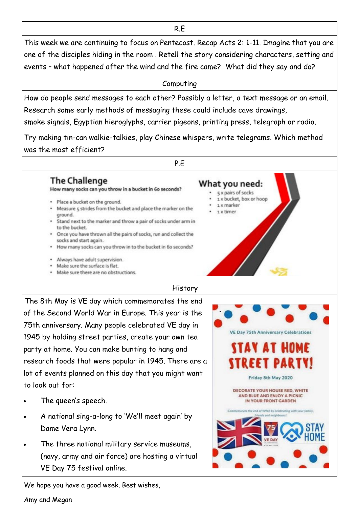This week we are continuing to focus on Pentecost. Recap Acts 2: 1-11. Imagine that you are one of the disciples hiding in the room . Retell the story considering characters, setting and events – what happened after the wind and the fire came? What did they say and do?

## Computing

How do people send messages to each other? Possibly a letter, a text message or an email. Research some early methods of messaging these could include cave drawings,

smoke signals, Egyptian hieroglyphs, carrier pigeons, printing press, telegraph or radio.

Try making tin-can walkie-talkies, play Chinese whispers, write telegrams. Which method was the most efficient?

## P.E

What you need:

1 x marker

1 x timer

5 x pairs of socks 1 x bucket, box or hoop

## **The Challenge**

How many socks can you throw in a bucket in 6o seconds?

- · Place a bucket on the ground.
- . Measure 5 strides from the bucket and place the marker on the ground.
- \* Stand next to the marker and throw a pair of socks under arm in to the bucket.
- . Once you have thrown all the pairs of socks, run and collect the socks and start again.
- . How many socks can you throw in to the bucket in 6o seconds?
- · Always have adult supervision.
- . Make sure the surface is flat.
- . Make sure there are no obstructions.

## History

The 8th May is VE day which commemorates the end of the Second World War in Europe. This year is the 75th anniversary. Many people celebrated VE day in 1945 by holding street parties, create your own tea party at home. You can make bunting to hang and research foods that were popular in 1945. There are a lot of events planned on this day that you might want to look out for:

- The queen's speech.
- A national sing-a-long to 'We'll meet again' by Dame Vera Lynn.
- The three national military service museums, (navy, army and air force) are hosting a virtual VE Day 75 festival online.



We hope you have a good week. Best wishes,

Amy and Megan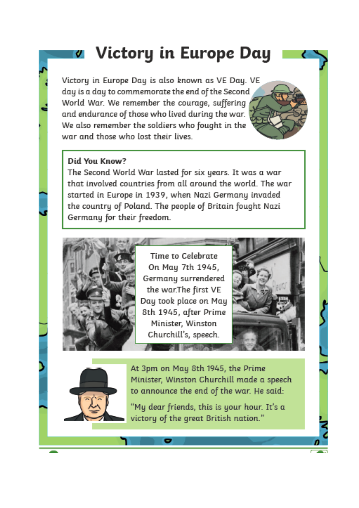# **ø** Victory in Europe Day

Victory in Europe Day is also known as VE Day. VE day is a day to commemorate the end of the Second World War. We remember the courage, suffering and endurance of those who lived during the war. We also remember the soldiers who fought in the war and those who lost their lives

## Did You Know?

The Second World War lasted for six years. It was a war that involved countries from all around the world. The war started in Europe in 1939, when Nazi Germany invaded the country of Poland. The people of Britain fought Nazi Germany for their freedom.



Time to Celebrate On Mau 7th 1945. Germany surrendered the war.The first VE Day took place on May 8th 1945, after Prime Minister, Winston Churchill's, speech.





At 3pm on May 8th 1945, the Prime Minister, Winston Churchill made a speech to announce the end of the war. He said:

"My dear friends, this is your hour. It's a victory of the great British nation."